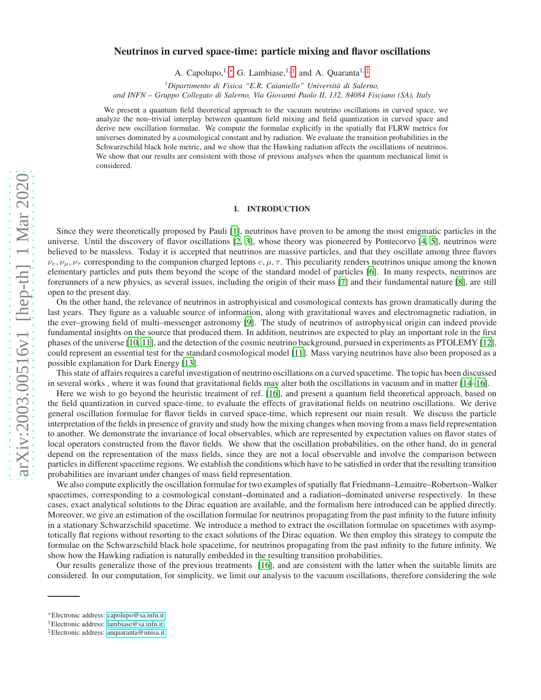# arXiv:2003.00516v1 [hep-th] 1 Mar 2020 [arXiv:2003.00516v1 \[hep-th\] 1 Mar 2020](http://arxiv.org/abs/2003.00516v1)

# Neutrinos in curved space-time: particle mixing and flavor oscillations

A. Capolupo,<sup>1,\*</sup> G. Lambiase,<sup>1,[†](#page-0-1)</sup> and A. Quaranta<sup>1,[‡](#page-0-2)</sup>

<sup>1</sup>Dipartimento di Fisica "E.R. Caianiello" Università di Salerno,

*and INFN – Gruppo Collegato di Salerno, Via Giovanni Paolo II, 132, 84084 Fisciano (SA), Italy*

We present a quantum field theoretical approach to the vacuum neutrino oscillations in curved space, we analyze the non–trivial interplay between quantum field mixing and field quantization in curved space and derive new oscillation formulae. We compute the formulae explicitly in the spatially flat FLRW metrics for universes dominated by a cosmological constant and by radiation. We evaluate the transition probabilities in the Schwarzschild black hole metric, and we show that the Hawking radiation affects the oscillations of neutrinos. We show that our results are consistent with those of previous analyses when the quantum mechanical limit is considered.

# I. INTRODUCTION

Since they were theoretically proposed by Pauli [\[1\]](#page-11-0), neutrinos have proven to be among the most enigmatic particles in the universe. Until the discovery of flavor oscillations [\[2](#page-11-1), [3\]](#page-11-2), whose theory was pioneered by Pontecorvo [\[4,](#page-11-3) [5\]](#page-11-4), neutrinos were believed to be massless. Today it is accepted that neutrinos are massive particles, and that they oscillate among three flavors  $\nu_e, \nu_\mu, \nu_\tau$  corresponding to the companion charged leptons  $e, \mu, \tau$ . This peculiarity renders neutrinos unique among the known elementary particles and puts them beyond the scope of the standard model of particles [\[6](#page-11-5)]. In many respects, neutrinos are forerunners of a new physics, as several issues, including the origin of their mass [\[7\]](#page-11-6) and their fundamental nature [\[8\]](#page-11-7), are still open to the present day.

On the other hand, the relevance of neutrinos in astrophyisical and cosmological contexts has grown dramatically during the last years. They figure as a valuable source of information, along with gravitational waves and electromagnetic radiation, in the ever–growing field of multi–messenger astronomy [\[9\]](#page-11-8). The study of neutrinos of astrophysical origin can indeed provide fundamental insights on the source that produced them. In addition, neutrinos are expected to play an important role in the first phases of the universe [\[10](#page-11-9), [11\]](#page-11-10), and the detection of the cosmic neutrino background, pursued in experiments as PTOLEMY [\[12](#page-11-11)], could represent an essential test for the standard cosmological model [\[11](#page-11-10)]. Mass varying neutrinos have also been proposed as a possible explanation for Dark Energy [\[13\]](#page-11-12).

This state of affairs requires a careful investigation of neutrino oscillations on a curved spacetime. The topic has been discussed in several works , where it was found that gravitational fields may alter both the oscillations in vacuum and in matter [\[14](#page-11-13)[–16\]](#page-11-14).

Here we wish to go beyond the heuristic treatment of ref. [\[16](#page-11-14)], and present a quantum field theoretical approach, based on the field quantization in curved space-time, to evaluate the effects of gravitational fields on neutrino oscillations. We derive general oscillation formulae for flavor fields in curved space-time, which represent our main result. We discuss the particle interpretation of the fields in presence of gravity and study how the mixing changes when moving from a mass field representation to another. We demonstrate the invariance of local observables, which are represented by expectation values on flavor states of local operators constructed from the flavor fields. We show that the oscillation probabilities, on the other hand, do in general depend on the representation of the mass fields, since they are not a local observable and involve the comparison between particles in different spacetime regions. We establish the conditions which have to be satisfied in order that the resulting transition probabilities are invariant under changes of mass field representation.

We also compute explicitly the oscillation formulae for two examples of spatially flat Friedmann–Lemaitre–Robertson–Walker spacetimes, corresponding to a cosmological constant–dominated and a radiation–dominated universe respectively. In these cases, exact analytical solutions to the Dirac equation are available, and the formalism here introduced can be applied directly. Moreover, we give an estimation of the oscillation formulae for neutrinos propagating from the past infinity to the future infinity in a stationary Schwarzschild spacetime. We introduce a method to extract the oscillation formulae on spacetimes with asymptotically flat regions without resorting to the exact solutions of the Dirac equation. We then employ this strategy to compute the formulae on the Schwarzschild black hole spacetime, for neutrinos propagating from the past infinity to the future infinity. We show how the Hawking radiation is naturally embedded in the resulting transition probabilities.

Our results generalize those of the previous treatments [\[16](#page-11-14)], and are consistent with the latter when the suitable limits are considered. In our computation, for simplicity, we limit our analysis to the vacuum oscillations, therefore considering the sole

<span id="page-0-0"></span><sup>∗</sup>Electronic address: [capolupo@sa.infn.it](mailto:capolupo@sa.infn.it)

<span id="page-0-1"></span><sup>†</sup>Electronic address: [lambiase@sa.infn.it](mailto:lambiase@sa.infn.it)

<span id="page-0-2"></span><sup>‡</sup>Electronic address: [anquaranta@unisa.it](mailto:anquaranta@unisa.it)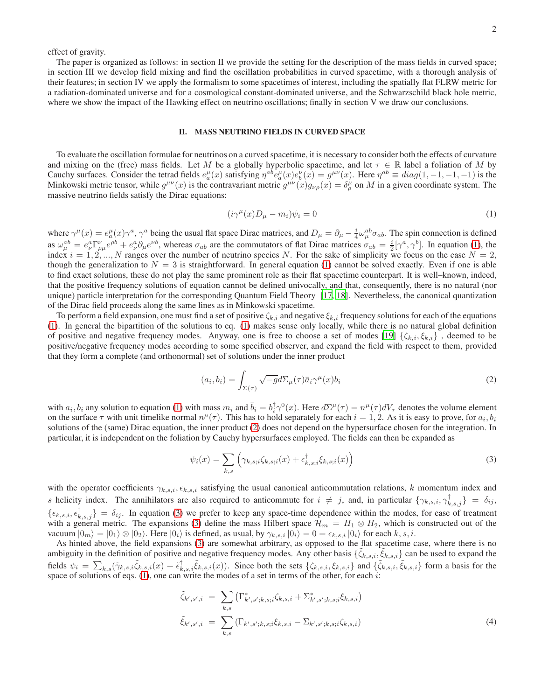effect of gravity.

The paper is organized as follows: in section II we provide the setting for the description of the mass fields in curved space; in section III we develop field mixing and find the oscillation probabilities in curved spacetime, with a thorough analysis of their features; in section IV we apply the formalism to some spacetimes of interest, including the spatially flat FLRW metric for a radiation-dominated universe and for a cosmological constant-dominated universe, and the Schwarzschild black hole metric, where we show the impact of the Hawking effect on neutrino oscillations; finally in section V we draw our conclusions.

# II. MASS NEUTRINO FIELDS IN CURVED SPACE

To evaluate the oscillation formulae for neutrinos on a curved spacetime, it is necessary to consider both the effects of curvature and mixing on the (free) mass fields. Let M be a globally hyperbolic spacetime, and let  $\tau \in \mathbb{R}$  label a foliation of M by Cauchy surfaces. Consider the tetrad fields  $e_a^{\mu}(x)$  satisfying  $\eta^{ab} e_a^{\mu}(x) e_b^{\nu}(x) = g^{\mu\nu}(x)$ . Here  $\eta^{ab} \equiv diag(1, -1, -1, -1)$  is the Minkowski metric tensor, while  $g^{\mu\nu}(x)$  is the contravariant metric  $g^{\mu\nu}(x)g_{\nu\rho}(x) = \delta^\mu_\rho$  on M in a given coordinate system. The massive neutrino fields satisfy the Dirac equations:

<span id="page-1-0"></span>
$$
(i\gamma^{\mu}(x)D_{\mu}-m_{i})\psi_{i}=0
$$
\n(1)

where  $\gamma^{\mu}(x) = e^{\mu}_{a}(x)\gamma^{a}$ ,  $\gamma^{a}$  being the usual flat space Dirac matrices, and  $D_{\mu} = \partial_{\mu} - \frac{i}{4}\omega^{ab}_{\mu}\sigma_{ab}$ . The spin connection is defined as  $\omega_{\mu}^{ab} = e_{\nu}^a \Gamma_{\rho\mu}^{\nu} e^{\rho b} + e_{\nu}^a \partial_{\mu} e^{\nu b}$ , whereas  $\sigma_{ab}$  are the commutators of flat Dirac matrices  $\sigma_{ab} = \frac{i}{2} [\gamma^a, \gamma^b]$ . In equation [\(1\)](#page-1-0), the index  $i = 1, 2, ..., N$  ranges over the number of neutrino species N. For the sake of simplicity we focus on the case  $N = 2$ , though the generalization to  $N = 3$  is straightforward. In general equation [\(1\)](#page-1-0) cannot be solved exactly. Even if one is able to find exact solutions, these do not play the same prominent role as their flat spacetime counterpart. It is well–known, indeed, that the positive frequency solutions of equation cannot be defined univocally, and that, consequently, there is no natural (nor unique) particle interpretation for the corresponding Quantum Field Theory [\[17,](#page-11-15) [18\]](#page-11-16). Nevertheless, the canonical quantization of the Dirac field proceeds along the same lines as in Minkowski spacetime.

To perform a field expansion, one must find a set of positive  $\zeta_{k,i}$  and negative  $\xi_{k,i}$  frequency solutions for each of the equations [\(1\)](#page-1-0). In general the bipartition of the solutions to eq. [\(1\)](#page-1-0) makes sense only locally, while there is no natural global definition of positive and negative frequency modes. Anyway, one is free to choose a set of modes [\[19](#page-11-17)]  $\{\zeta_{k,i}, \xi_{k,i}\}\,$ , deemed to be positive/negative frequency modes according to some specified observer, and expand the field with respect to them, provided that they form a complete (and orthonormal) set of solutions under the inner product

<span id="page-1-1"></span>
$$
(a_i, b_i) = \int_{\Sigma(\tau)} \sqrt{-g} d\Sigma_{\mu}(\tau) \bar{a}_i \gamma^{\mu}(x) b_i
$$
\n(2)

with  $a_i, b_i$  any solution to equation [\(1\)](#page-1-0) with mass  $m_i$  and  $\bar{b}_i = b_i^{\dagger} \gamma^0(x)$ . Here  $d\Sigma^{\mu}(\tau) = n^{\mu}(\tau) dV_{\tau}$  denotes the volume element on the surface  $\tau$  with unit timelike normal  $n^{\mu}(\tau)$ . This has to hold separately for each  $i = 1, 2$ . As it is easy to prove, for  $a_i, b_i$ solutions of the (same) Dirac equation, the inner product [\(2\)](#page-1-1) does not depend on the hypersurface chosen for the integration. In particular, it is independent on the foliation by Cauchy hypersurfaces employed. The fields can then be expanded as

<span id="page-1-2"></span>
$$
\psi_i(x) = \sum_{k,s} \left( \gamma_{k,s;i} \zeta_{k,s;i}(x) + \epsilon_{k,s;i}^{\dagger} \xi_{k,s;i}(x) \right)
$$
\n(3)

with the operator coefficients  $\gamma_{k,s,i}, \epsilon_{k,s,i}$  satisfying the usual canonical anticommutation relations, k momentum index and s helicity index. The annihilators are also required to anticommute for  $i \neq j$ , and, in particular  $\{\gamma_{k,s,i}, \gamma_{k,s,j}^{\dagger}\} = \delta_{ij}$ ,  ${\{\epsilon_{k,s,i}, \epsilon_{k,s,j}^{\dagger}\}} = \delta_{ij}$ . In equation [\(3\)](#page-1-2) we prefer to keep any space-time dependence within the modes, for ease of treatment with a general metric. The expansions [\(3\)](#page-1-2) define the mass Hilbert space  $\mathcal{H}_m = H_1 \otimes H_2$ , which is constructed out of the vacuum  $|0_m\rangle = |0_1\rangle \otimes |0_2\rangle$ . Here  $|0_i\rangle$  is defined, as usual, by  $\gamma_{k,s,i} |0_i\rangle = 0 = \epsilon_{k,s,i} |0_i\rangle$  for each k, s, i.

As hinted above, the field expansions [\(3\)](#page-1-2) are somewhat arbitrary, as opposed to the flat spacetime case, where there is no ambiguity in the definition of positive and negative frequency modes. Any other basis  $\{\tilde{\zeta}_{k,s,i}, \tilde{\zeta}_{k,s,i}\}$  can be used to expand the fields  $\psi_i = \sum_{k,s} (\tilde{\gamma}_{k,s,i} \tilde{\zeta}_{k,s,i}(x) + \tilde{\epsilon}_{k,s,i}^{\dagger} \tilde{\zeta}_{k,s,i}(x))$ . Since both the sets  $\{\zeta_{k,s,i}, \zeta_{k,s,i}\}$  and  $\{\tilde{\zeta}_{k,s,i}, \tilde{\zeta}_{k,s,i}\}$  form a basis for the space of solutions of eqs.  $(1)$ , one can write the modes of a set in terms of the other, for each i:

<span id="page-1-3"></span>
$$
\tilde{\zeta}_{k',s',i} = \sum_{k,s} \left( \Gamma^*_{k',s';k,s;i} \zeta_{k,s,i} + \Sigma^*_{k',s';k,s;i} \zeta_{k,s,i} \right)
$$
\n
$$
\tilde{\zeta}_{k',s',i} = \sum_{k,s} \left( \Gamma_{k',s';k,s;i} \zeta_{k,s,i} - \Sigma_{k',s';k,s;i} \zeta_{k,s,i} \right)
$$
\n(4)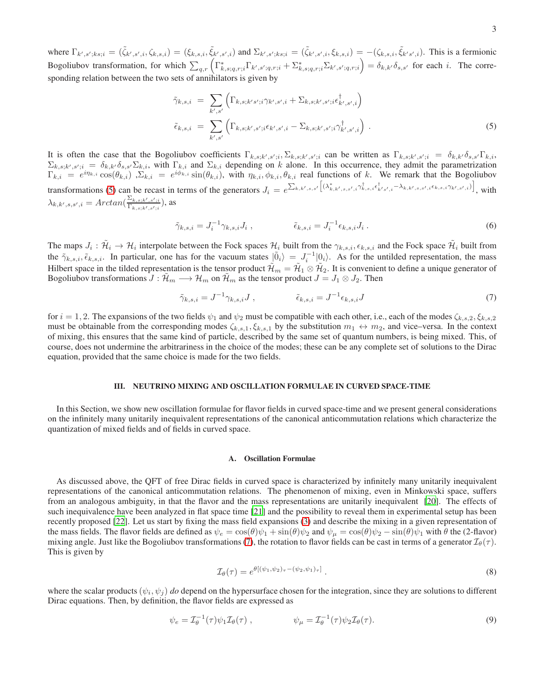where  $\Gamma_{k',s';ks;i} = (\tilde{\zeta}_{k',s',i}, \zeta_{k,s,i}) = (\xi_{k,s,i}, \tilde{\xi}_{k',s',i})$  and  $\Sigma_{k',s';ks;i} = (\tilde{\zeta}_{k',s',i}, \xi_{k,s,i}) = -(\zeta_{k,s,i}, \tilde{\xi}_{k's',i})$ . This is a fermionic Bogoliubov transformation, for which  $\sum_{q,r} \left( \Gamma^*_{k,s;q,r;i} \Gamma_{k',s';q,r;i} + \Sigma^*_{k,s;q,r;i} \Sigma_{k',s';q,r;i} \right) = \delta_{k,k'} \delta_{s,s'}$  for each i. The corresponding relation between the two sets of annihilators is given by

<span id="page-2-0"></span>
$$
\tilde{\gamma}_{k,s,i} = \sum_{k',s'} \left( \Gamma_{k,s;k's';i} \gamma_{k',s',i} + \Sigma_{k,s;k',s';i} \epsilon^{\dagger}_{k',s',i} \right) \n\tilde{\epsilon}_{k,s,i} = \sum_{k',s'} \left( \Gamma_{k,s;k',s';i} \epsilon_{k',s',i} - \Sigma_{k,s;k',s';i} \gamma^{\dagger}_{k',s',i} \right).
$$
\n(5)

It is often the case that the Bogoliubov coefficients  $\Gamma_{k,s;k',s';i}$ ,  $\Sigma_{k,s;k',s';i}$  can be written as  $\Gamma_{k,s;k',s';i} = \delta_{k,k'} \delta_{s,s'} \Gamma_{k,i}$ ,  $\Sigma_{k,s;k',s';i} = \delta_{k,k'}\delta_{s,s'}\Sigma_{k,i}$ , with  $\Gamma_{k,i}$  and  $\Sigma_{k,i}$  depending on k alone. In this occurrence, they admit the parametrization  $\Gamma_{k,i} = e^{i\eta_{k,i}} \cos(\theta_{k,i})$ ,  $\Sigma_{k,i} = e^{i\phi_{k,i}} \sin(\theta_{k,i})$ , with  $\eta_{k,i}, \phi_{k,i}, \theta_{k,i}$  real functions of k. We remark that the Bogoliubov transformations [\(5\)](#page-2-0) can be recast in terms of the generators  $J_i = e^{\sum_{k,k',s,s'} \left[ (\lambda^*_{k,k',s,s',i} \gamma^{\dagger}_{k,s,i} \epsilon^{\dagger}_{k',s',i} - \lambda_{k,k',s,s',i} \epsilon_{k,s,i} \gamma_{k',s',i}) \right]}$ , with  $\lambda_{k,k',s,s',i} = Arctan(\frac{\Sigma_{k,s;k',s';i}}{\Gamma_{k,s,t',s',i}})$  $\frac{\sum_{k,s; k',s';i}}{\Gamma_{k,s;k',s';i}}$ ), as

$$
\tilde{\gamma}_{k,s,i} = J_i^{-1} \gamma_{k,s,i} J_i , \qquad \qquad \tilde{\epsilon}_{k,s,i} = J_i^{-1} \epsilon_{k,s,i} J_i . \qquad (6)
$$

The maps  $J_i: \tilde{\mathcal{H}}_i \to \mathcal{H}_i$  interpolate between the Fock spaces  $\mathcal{H}_i$  built from the  $\gamma_{k,s,i}, \epsilon_{k,s,i}$  and the Fock space  $\tilde{\mathcal{H}}_i$  built from the  $\tilde{\gamma}_{k,s,i}, \tilde{\epsilon}_{k,s,i}$ . In particular, one has for the vacuum states  $|\tilde{0}_i\rangle = J_i^{-1}|0_i\rangle$ . As for the untilded representation, the mass Hilbert space in the tilded representation is the tensor product  $\mathcal{H}_m = \mathcal{H}_1 \otimes \mathcal{H}_2$ . It is convenient to define a unique generator of Bogoliubov transformations  $J : \tilde{\mathcal{H}}_m \longrightarrow \mathcal{H}_m$  on  $\tilde{\mathcal{H}}_m$  as the tensor product  $J = J_1 \otimes J_2$ . Then

<span id="page-2-1"></span>
$$
\tilde{\gamma}_{k,s,i} = J^{-1} \gamma_{k,s,i} J , \qquad \qquad \tilde{\epsilon}_{k,s,i} = J^{-1} \epsilon_{k,s,i} J
$$
\n
$$
(7)
$$

for  $i = 1, 2$ . The expansions of the two fields  $\psi_1$  and  $\psi_2$  must be compatible with each other, i.e., each of the modes  $\zeta_{k,s,2}, \zeta_{k,s,2}$ must be obtainable from the corresponding modes  $\zeta_{k,s,1}, \xi_{k,s,1}$  by the substitution  $m_1 \leftrightarrow m_2$ , and vice–versa. In the context of mixing, this ensures that the same kind of particle, described by the same set of quantum numbers, is being mixed. This, of course, does not undermine the arbitrariness in the choice of the modes; these can be any complete set of solutions to the Dirac equation, provided that the same choice is made for the two fields.

# III. NEUTRINO MIXING AND OSCILLATION FORMULAE IN CURVED SPACE-TIME

In this Section, we show new oscillation formulae for flavor fields in curved space-time and we present general considerations on the infinitely many unitarily inequivalent representations of the canonical anticommutation relations which characterize the quantization of mixed fields and of fields in curved space.

### A. Oscillation Formulae

As discussed above, the QFT of free Dirac fields in curved space is characterized by infinitely many unitarily inequivalent representations of the canonical anticommutation relations. The phenomenon of mixing, even in Minkowski space, suffers from an analogous ambiguity, in that the flavor and the mass representations are unitarily inequivalent [\[20](#page-11-18)]. The effects of such inequivalence have been analyzed in flat space time [\[21](#page-12-0)] and the possibility to reveal them in experimental setup has been recently proposed [\[22](#page-12-1)]. Let us start by fixing the mass field expansions [\(3\)](#page-1-2) and describe the mixing in a given representation of the mass fields. The flavor fields are defined as  $\psi_e = \cos(\theta)\psi_1 + \sin(\theta)\psi_2$  and  $\psi_\mu = \cos(\theta)\psi_2 - \sin(\theta)\psi_1$  with  $\theta$  the (2-flavor) mixing angle. Just like the Bogoliubov transformations [\(7\)](#page-2-1), the rotation to flavor fields can be cast in terms of a generator  $\mathcal{I}_{\theta}(\tau)$ . This is given by

<span id="page-2-2"></span>
$$
\mathcal{I}_{\theta}(\tau) = e^{\theta\left[\left(\psi_1, \psi_2\right)\tau - \left(\psi_2, \psi_1\right)\tau\right]}.
$$
\n
$$
(8)
$$

where the scalar products  $(\psi_i, \psi_j)$  *do* depend on the hypersurface chosen for the integration, since they are solutions to different Dirac equations. Then, by definition, the flavor fields are expressed as

$$
\psi_e = \mathcal{I}_{\theta}^{-1}(\tau)\psi_1\mathcal{I}_{\theta}(\tau) , \qquad \psi_{\mu} = \mathcal{I}_{\theta}^{-1}(\tau)\psi_2\mathcal{I}_{\theta}(\tau). \tag{9}
$$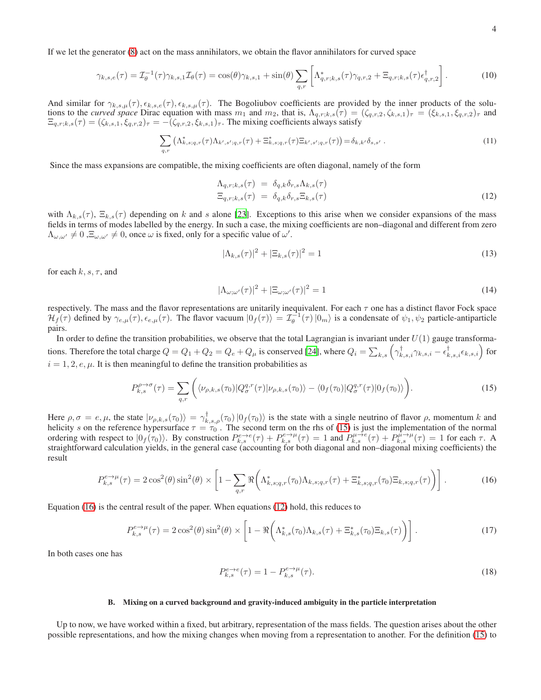If we let the generator [\(8\)](#page-2-2) act on the mass annihilators, we obtain the flavor annihilators for curved space

$$
\gamma_{k,s,e}(\tau) = \mathcal{I}_{\theta}^{-1}(\tau)\gamma_{k,s,1}\mathcal{I}_{\theta}(\tau) = \cos(\theta)\gamma_{k,s,1} + \sin(\theta)\sum_{q,r}\left[\Lambda_{q,r;k,s}^{*}(\tau)\gamma_{q,r,2} + \Xi_{q,r;k,s}(\tau)\epsilon_{q,r,2}^{\dagger}\right].
$$
 (10)

And similar for  $\gamma_{k,s,\mu}(\tau)$ ,  $\epsilon_{k,s,e}(\tau)$ ,  $\epsilon_{k,s,\mu}(\tau)$ . The Bogoliubov coefficients are provided by the inner products of the solutions to the *curved space* Dirac equation with mass  $m_1$  and  $m_2$ , that is,  $\Lambda_{q,r;k,s}(\tau) = (\zeta_{q,r,2}, \zeta_{k,s,1})_{\tau} = (\zeta_{k,s,1}, \zeta_{q,r,2})_{\tau}$  and  $\Xi_{q,r;k,s}(\tau) = (\zeta_{k,s,1}, \xi_{q,r,2})_{\tau} = -(\zeta_{q,r,2}, \xi_{k,s,1})_{\tau}$ . The mixing coefficients always satisfy

$$
\sum_{q,r} \left( \Lambda_{k,s;q,r}^*(\tau) \Lambda_{k',s';q,r}(\tau) + \Xi_{k,s;q,r}^*(\tau) \Xi_{k',s';q,r}(\tau) \right) = \delta_{k,k'} \delta_{s,s'}.
$$
\n(11)

Since the mass expansions are compatible, the mixing coefficients are often diagonal, namely of the form

<span id="page-3-2"></span>
$$
\Lambda_{q,r;k,s}(\tau) = \delta_{q,k}\delta_{r,s}\Lambda_{k,s}(\tau)
$$
  
\n
$$
\Xi_{q,r;k,s}(\tau) = \delta_{q,k}\delta_{r,s}\Xi_{k,s}(\tau)
$$
\n(12)

with  $\Lambda_{k,s}(\tau)$ ,  $\Xi_{k,s}(\tau)$  depending on k and s alone [\[23\]](#page-12-2). Exceptions to this arise when we consider expansions of the mass fields in terms of modes labelled by the energy. In such a case, the mixing coefficients are non–diagonal and different from zero  $\Lambda_{\omega,\omega'} \neq 0$  ,  $\Xi_{\omega,\omega'} \neq 0$ , once  $\omega$  is fixed, only for a specific value of  $\omega'$ .

$$
|\Lambda_{k,s}(\tau)|^2 + |\Xi_{k,s}(\tau)|^2 = 1
$$
\n(13)

for each  $k, s, \tau$ , and

$$
|\Lambda_{\omega;\omega'}(\tau)|^2 + |\Xi_{\omega;\omega'}(\tau)|^2 = 1
$$
\n(14)

respectively. The mass and the flavor representations are unitarily inequivalent. For each  $\tau$  one has a distinct flavor Fock space  $\mathcal{H}_f(\tau)$  defined by  $\gamma_{e,\mu}(\tau)$ ,  $\epsilon_{e,\mu}(\tau)$ . The flavor vacuum  $|0_f(\tau)\rangle = \mathcal{I}_{\theta}^{-1}(\tau) |0_m\rangle$  is a condensate of  $\psi_1, \psi_2$  particle-antiparticle pairs.

In order to define the transition probabilities, we observe that the total Lagrangian is invariant under  $U(1)$  gauge transformations. Therefore the total charge  $Q=Q_1+Q_2=Q_e+Q_\mu$  is conserved [\[24](#page-12-3)], where  $Q_i=\sum_{k,s}\left(\gamma_{k,s,i}^\dagger\gamma_{k,s,i}-\epsilon_{k,s,i}^\dagger\epsilon_{k,s,i}\right)$  for  $i = 1, 2, e, \mu$ . It is then meaningful to define the transition probabilities as

<span id="page-3-0"></span>
$$
P_{k,s}^{\rho \to \sigma}(\tau) = \sum_{q,r} \left( \langle \nu_{\rho,k,s}(\tau_0) | Q_{\sigma}^{q,r}(\tau) | \nu_{\rho,k,s}(\tau_0) \rangle - \langle 0_f(\tau_0) | Q_{\sigma}^{q,r}(\tau) | 0_f(\tau_0) \rangle \right). \tag{15}
$$

Here  $\rho, \sigma = e, \mu$ , the state  $|\nu_{\rho,k,s}(\tau_0)\rangle = \gamma_{k,s,\rho}^{\dagger}(\tau_0) |0_f(\tau_0)\rangle$  is the state with a single neutrino of flavor  $\rho$ , momentum k and helicity s on the reference hypersurface  $\tau = \tau_0$ . The second term on the rhs of [\(15\)](#page-3-0) is just the implementation of the normal ordering with respect to  $|0_f(\tau_0)\rangle$ . By construction  $P_{k,s}^{e\to e}(\tau) + P_{k,s}^{e\to \mu}(\tau) = 1$  and  $P_{k,s}^{\mu \to e}(\tau) + P_{k,s}^{\hat{\mu} \to \mu}(\tau) = 1$  for each  $\tau$ . A straightforward calculation yields, in the general case (accounting for both diagonal and non–diagonal mixing coefficients) the result

<span id="page-3-1"></span>
$$
P_{k,s}^{e\to\mu}(\tau) = 2\cos^2(\theta)\sin^2(\theta) \times \left[1 - \sum_{q,r} \Re\left(\Lambda_{k,s;q,r}^*(\tau_0)\Lambda_{k,s;q,r}(\tau) + \Xi_{k,s;q,r}^*(\tau_0)\Xi_{k,s;q,r}(\tau)\right)\right].
$$
 (16)

Equation [\(16\)](#page-3-1) is the central result of the paper. When equations [\(12\)](#page-3-2) hold, this reduces to

<span id="page-3-3"></span>
$$
P_{k,s}^{e\to\mu}(\tau) = 2\cos^2(\theta)\sin^2(\theta) \times \left[1 - \Re\left(\Lambda_{k,s}^*(\tau_0)\Lambda_{k,s}(\tau) + \Xi_{k,s}^*(\tau_0)\Xi_{k,s}(\tau)\right)\right].\tag{17}
$$

In both cases one has

$$
P_{k,s}^{e \to e}(\tau) = 1 - P_{k,s}^{e \to \mu}(\tau). \tag{18}
$$

## B. Mixing on a curved background and gravity-induced ambiguity in the particle interpretation

Up to now, we have worked within a fixed, but arbitrary, representation of the mass fields. The question arises about the other possible representations, and how the mixing changes when moving from a representation to another. For the definition [\(15\)](#page-3-0) to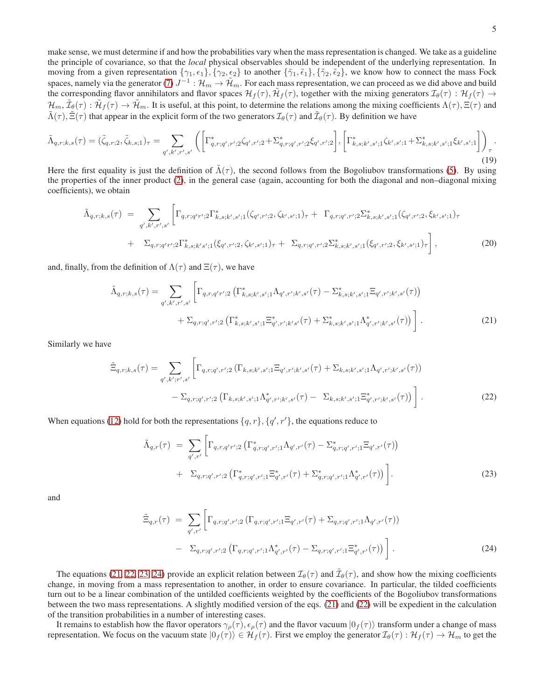make sense, we must determine if and how the probabilities vary when the mass representation is changed. We take as a guideline the principle of covariance, so that the *local* physical observables should be independent of the underlying representation. In moving from a given representation  $\{\gamma_1, \epsilon_1\}, \{\gamma_2, \epsilon_2\}$  to another  $\{\tilde{\gamma}_1, \tilde{\epsilon}_1\}, \{\tilde{\gamma}_2, \tilde{\epsilon}_2\}$ , we know how to connect the mass Fock spaces, namely via the generator [\(7\)](#page-2-1)  $J^{-1}$ :  $\mathcal{H}_m \to \tilde{\mathcal{H}}_m$ . For each mass representation, we can proceed as we did above and build the corresponding flavor annihilators and flavor spaces  $\mathcal{H}_f(\tau)$ ,  $\tilde{\mathcal{H}}_f(\tau)$ , together with the mixing generators  $\mathcal{I}_{\theta}(\tau) : \mathcal{H}_f(\tau) \to$  $\mathcal{H}_m$ ,  $\tilde{\mathcal{I}}_{\theta}(\tau) : \tilde{\mathcal{H}}_f(\tau) \to \tilde{\mathcal{H}}_m$ . It is useful, at this point, to determine the relations among the mixing coefficients  $\Lambda(\tau)$ ,  $\Xi(\tau)$  and  $\tilde{\Lambda}(\tau)$ ,  $\tilde{\Xi}(\tau)$  that appear in the explicit form of the two generators  $\mathcal{I}_{\theta}(\tau)$  and  $\tilde{\mathcal{I}}_{\theta}(\tau)$ . By definition we have

$$
\tilde{\Lambda}_{q,r;k,s}(\tau) = (\tilde{\zeta}_{q,r;2}, \tilde{\zeta}_{k,s;1})_{\tau} = \sum_{q',k',r',s'} \left( \left[ \Gamma^*_{q,r;q',r';2} \zeta_{q',r';2} + \Sigma^*_{q,r;q',r';2} \zeta_{q',r';2} \right], \left[ \Gamma^*_{k,s;k',s';1} \zeta_{k',s';1} + \Sigma^*_{k,s;k',s';1} \zeta_{k',s';1} \right] \right)_{\tau}.
$$
\n(19)

Here the first equality is just the definition of  $\tilde{\Lambda}(\tau)$ , the second follows from the Bogoliubov transformations [\(5\)](#page-2-0). By using the properties of the inner product [\(2\)](#page-1-1), in the general case (again, accounting for both the diagonal and non–diagonal mixing coefficients), we obtain

$$
\tilde{\Lambda}_{q,r;k,s}(\tau) = \sum_{q',k',r',s'} \left[ \Gamma_{q,r;q'r';2} \Gamma^*_{k,s;k',s';1}(\zeta_{q',r';2},\zeta_{k',s';1})_{\tau} + \Gamma_{q,r;q',r';2} \Sigma^*_{k,s;k',s';1}(\zeta_{q',r';2},\zeta_{k',s';1})_{\tau} + \Sigma_{q,r;q'r';2} \Gamma^*_{k,s;k',s';1}(\zeta_{q',r';2},\zeta_{k',s';1})_{\tau} + \Sigma_{q,r;q',r';2} \Sigma^*_{k,s;k',s';1}(\zeta_{q',r';2},\zeta_{k',s';1})_{\tau} \right],
$$
\n(20)

and, finally, from the definition of  $\Lambda(\tau)$  and  $\Xi(\tau)$ , we have

<span id="page-4-0"></span>
$$
\tilde{\Lambda}_{q,r;k,s}(\tau) = \sum_{q',k',r',s'} \left[ \Gamma_{q,r,q'r';2} \left( \Gamma_{k,s;k',s';1}^* \Lambda_{q',r';k',s'}(\tau) - \Sigma_{k,s;k',s';1}^* \Xi_{q',r';k',s'}(\tau) \right) \right. \\
\left. + \Sigma_{q,r;q',r';2} \left( \Gamma_{k,s;k',s';1}^* \Xi_{q',r';k's'}^*(\tau) + \Sigma_{k,s;k',s';1}^* \Lambda_{q',r';k',s'}^*(\tau) \right) \right].
$$
\n(21)

Similarly we have

<span id="page-4-1"></span>
$$
\tilde{\Xi}_{q,r;k,s}(\tau) = \sum_{q',k';r',s'} \left[ \Gamma_{q,r;q',r';2} \left( \Gamma_{k,s;k',s';1} \Xi_{q',r';k',s'}(\tau) + \Sigma_{k,s;k',s';1} \Lambda_{q',r';k',s'}(\tau) \right) \right. \\
\left. - \Sigma_{q,r;q',r';2} \left( \Gamma_{k,s;k',s';1} \Lambda_{q',r';k',s'}^*(\tau) - \Sigma_{k,s;k',s';1} \Xi_{q',r';k',s'}^*(\tau) \right) \right].
$$
\n(22)

When equations [\(12\)](#page-3-2) hold for both the representations  $\{q, r\}$ ,  $\{q', r'\}$ , the equations reduce to

<span id="page-4-2"></span>
$$
\tilde{\Lambda}_{q,r}(\tau) = \sum_{q',r'} \left[ \Gamma_{q,r,q'r';2} \left( \Gamma_{q,r;q',r';1}^* \Lambda_{q',r'}(\tau) - \Sigma_{q,r;q',r';1}^* \Xi_{q',r'}(\tau) \right) \right. \\
\left. + \Sigma_{q,r;q',r';2} \left( \Gamma_{q,r;q',r';1}^* \Xi_{q',r'}^*(\tau) + \Sigma_{q,r;q',r';1}^* \Lambda_{q',r'}^*(\tau) \right) \right].
$$
\n(23)

and

<span id="page-4-3"></span>
$$
\tilde{\Xi}_{q,r}(\tau) = \sum_{q',r'} \left[ \Gamma_{q,r;q',r';2} \left( \Gamma_{q,r;q',r';1} \Xi_{q',r'}(\tau) + \Sigma_{q,r;q',r';1} \Lambda_{q',r'}(\tau) \right) \right. \\
\left. - \sum_{q,r;q',r';2} \left( \Gamma_{q,r;q',r';1} \Lambda_{q',r'}^*(\tau) - \Sigma_{q,r;q',r';1} \Xi_{q',r'}^*(\tau) \right) \right].\n\tag{24}
$$

The equations [\(21,](#page-4-0) [22,](#page-4-1) [23,](#page-4-2) [24\)](#page-4-3) provide an explicit relation between  $\mathcal{I}_{\theta}(\tau)$  and  $\tilde{\mathcal{I}}_{\theta}(\tau)$ , and show how the mixing coefficients change, in moving from a mass representation to another, in order to ensure covariance. In particular, the tilded coefficients turn out to be a linear combination of the untilded coefficients weighted by the coefficients of the Bogoliubov transformations between the two mass representations. A slightly modified version of the eqs. [\(21\)](#page-4-0) and [\(22\)](#page-4-1) will be expedient in the calculation of the transition probabilities in a number of interesting cases.

It remains to establish how the flavor operators  $\gamma_\rho(\tau)$ ,  $\epsilon_\rho(\tau)$  and the flavor vacuum  $|0_f(\tau)\rangle$  transform under a change of mass representation. We focus on the vacuum state  $|0_f(\tau)\rangle \in \mathcal{H}_f(\tau)$ . First we employ the generator  $\mathcal{I}_{\theta}(\tau): \mathcal{H}_f(\tau) \to \mathcal{H}_m$  to get the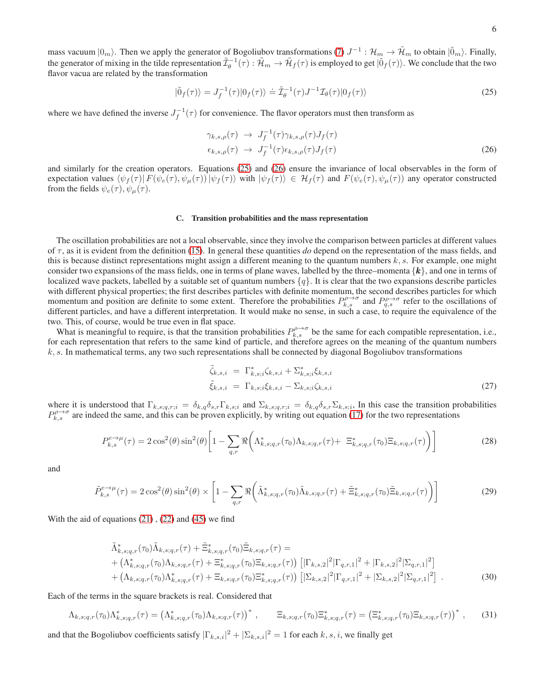6

mass vacuum  $|0_m\rangle$ . Then we apply the generator of Bogoliubov transformations [\(7\)](#page-2-1)  $J^{-1}$  :  $\mathcal{H}_m \to \tilde{\mathcal{H}}_m$  to obtain  $|\tilde{0}_m\rangle$ . Finally, the generator of mixing in the tilde representation  $\tilde{\mathcal{I}}_{\theta}^{-1}(\tau) : \tilde{\mathcal{H}}_m \to \tilde{\mathcal{H}}_f(\tau)$  is employed to get  $|\tilde{0}_f(\tau)\rangle$ . We conclude that the two flavor vacua are related by the transformation

<span id="page-5-0"></span>
$$
|\tilde{0}_f(\tau)\rangle = J_f^{-1}(\tau)|0_f(\tau)\rangle \doteq \tilde{\mathcal{I}}_\theta^{-1}(\tau)J^{-1}\mathcal{I}_\theta(\tau)|0_f(\tau)\rangle
$$
\n(25)

where we have defined the inverse  $J_f^{-1}(\tau)$  for convenience. The flavor operators must then transform as

<span id="page-5-1"></span>
$$
\gamma_{k,s,\rho}(\tau) \rightarrow J_f^{-1}(\tau)\gamma_{k,s,\rho}(\tau)J_f(\tau)
$$
  
\n
$$
\epsilon_{k,s,\rho}(\tau) \rightarrow J_f^{-1}(\tau)\epsilon_{k,s,\rho}(\tau)J_f(\tau)
$$
\n(26)

and similarly for the creation operators. Equations [\(25\)](#page-5-0) and [\(26\)](#page-5-1) ensure the invariance of local observables in the form of expectation values  $\langle \psi_f(\tau) | F(\psi_e(\tau), \psi_\mu(\tau)) | \psi_f(\tau) \rangle$  with  $|\psi_f(\tau) \rangle \in \mathcal{H}_f(\tau)$  and  $F(\psi_e(\tau), \psi_\mu(\tau))$  any operator constructed from the fields  $\psi_e(\tau)$ ,  $\psi_\mu(\tau)$ .

# C. Transition probabilities and the mass representation

The oscillation probabilities are not a local observable, since they involve the comparison between particles at different values of τ, as it is evident from the definition [\(15\)](#page-3-0). In general these quantities *do* depend on the representation of the mass fields, and this is because distinct representations might assign a different meaning to the quantum numbers  $k$ , s. For example, one might consider two expansions of the mass fields, one in terms of plane waves, labelled by the three–momenta  $\{k\}$ , and one in terms of localized wave packets, labelled by a suitable set of quantum numbers  $\{q\}$ . It is clear that the two expansions describe particles with different physical properties; the first describes particles with definite momentum, the second describes particles for which momentum and position are definite to some extent. Therefore the probabilities  $P_{k,s}^{\rho\to\sigma}$  and  $P_{q,s}^{\rho\to\sigma}$  refer to the oscillations of different particles, and have a different interpretation. It would make no sense, in such a case, to require the equivalence of the two. This, of course, would be true even in flat space.

What is meaningful to require, is that the transition probabilities  $P_{k,s}^{\rho\to\sigma}$  be the same for each compatible representation, i.e., for each representation that refers to the same kind of particle, and therefore agrees on the meaning of the quantum numbers  $k, s$ . In mathematical terms, any two such representations shall be connected by diagonal Bogoliubov transformations

$$
\tilde{\zeta}_{k,s,i} = \Gamma^*_{k,s;i}\zeta_{k,s,i} + \Sigma^*_{k,s;i}\zeta_{k,s,i}
$$
\n
$$
\tilde{\zeta}_{k,s,i} = \Gamma_{k,s;i}\zeta_{k,s,i} - \Sigma_{k,s;i}\zeta_{k,s,i}
$$
\n
$$
(27)
$$

where it is understood that  $\Gamma_{k,s;q,r;i} = \delta_{k,q} \delta_{s,r} \Gamma_{k,s;i}$  and  $\Sigma_{k,s;q,r;i} = \delta_{k,q} \delta_{s,r} \Sigma_{k,s;i}$ , In this case the transition probabilities  $P_{k,s}^{\rho\to\sigma}$  are indeed the same, and this can be proven explicitly, by writing out equation [\(17\)](#page-3-3) for the two representations

<span id="page-5-2"></span>
$$
P_{k,s}^{e \to \mu}(\tau) = 2\cos^2(\theta)\sin^2(\theta)\left[1 - \sum_{q,r} \Re\left(\Lambda_{k,s;q,r}^*(\tau_0)\Lambda_{k,s;q,r}(\tau) + \Xi_{k,s;q,r}^*(\tau_0)\Xi_{k,s;q,r}(\tau)\right)\right]
$$
(28)

and

$$
\tilde{P}_{k,s}^{e\to\mu}(\tau) = 2\cos^2(\theta)\sin^2(\theta) \times \left[1 - \sum_{q,r} \Re\left(\tilde{\Lambda}_{k,s;q,r}^*(\tau_0)\tilde{\Lambda}_{k,s;q,r}(\tau) + \tilde{\Xi}_{k,s;q,r}^*(\tau_0)\tilde{\Xi}_{k,s;q,r}(\tau)\right)\right]
$$
\n(29)

With the aid of equations  $(21)$ ,  $(22)$  and  $(45)$  we find

$$
\tilde{\Lambda}_{k,s;q,r}^{*}(\tau_{0})\tilde{\Lambda}_{k,s;q,r}(\tau)+\tilde{\Xi}_{k,s;q,r}^{*}(\tau_{0})\tilde{\Xi}_{k,s;q,r}(\tau)=+(\Lambda_{k,s;q,r}^{*}(\tau_{0})\Lambda_{k,s;q,r}(\tau)+\Xi_{k,s;q,r}^{*}(\tau_{0})\Xi_{k,s;q,r}(\tau))\left[|\Gamma_{k,s,2}|^{2}|\Gamma_{q,r,1}|^{2}+|\Gamma_{k,s,2}|^{2}|\Sigma_{q,r,1}|^{2}\right]+(\Lambda_{k,s;q,r}(\tau_{0})\Lambda_{k,s;q,r}^{*}(\tau)+\Xi_{k,s;q,r}(\tau_{0})\Xi_{k,s;q,r}^{*}(\tau))\left[|\Sigma_{k,s,2}|^{2}|\Gamma_{q,r,1}|^{2}+|\Sigma_{k,s,2}|^{2}|\Sigma_{q,r,1}|^{2}\right].
$$
\n(30)

Each of the terms in the square brackets is real. Considered that

$$
\Lambda_{k,s;q,r}(\tau_0)\Lambda_{k,s;q,r}^*(\tau) = \left(\Lambda_{k,s;q,r}^*(\tau_0)\Lambda_{k,s;q,r}(\tau)\right)^*, \qquad \Xi_{k,s;q,r}(\tau_0)\Xi_{k,s;q,r}^*(\tau) = \left(\Xi_{k,s;q,r}^*(\tau_0)\Xi_{k,s;q,r}(\tau)\right)^*, \qquad (31)
$$

and that the Bogoliubov coefficients satisfy  $|\Gamma_{k,s,i}|^2 + |\Sigma_{k,s,i}|^2 = 1$  for each  $k, s, i$ , we finally get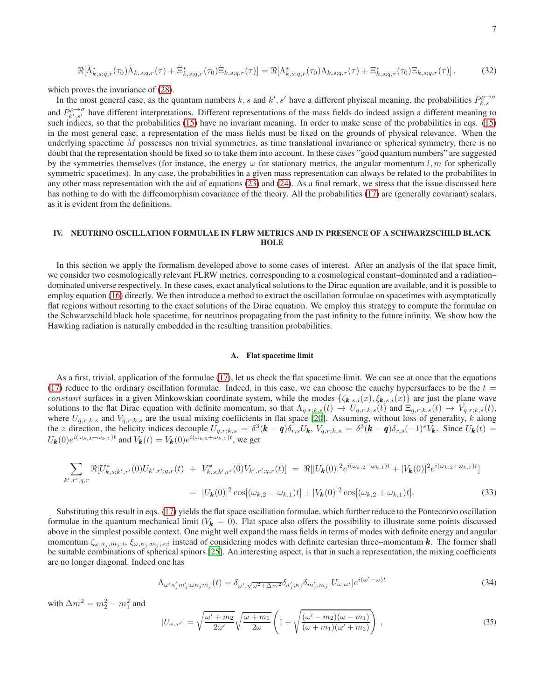$$
\Re[\tilde{\Lambda}_{k,s;q,r}^*(\tau_0)\tilde{\Lambda}_{k,s;q,r}(\tau) + \tilde{\Xi}_{k,s;q,r}^*(\tau_0)\tilde{\Xi}_{k,s;q,r}(\tau)] = \Re[\Lambda_{k,s;q,r}^*(\tau_0)\Lambda_{k,s;q,r}(\tau) + \Xi_{k,s;q,r}^*(\tau_0)\Xi_{k,s;q,r}(\tau)],
$$
\n(32)

which proves the invariance of [\(28\)](#page-5-2).

In the most general case, as the quantum numbers k, s and k', s' have a different phyiscal meaning, the probabilities  $P_{k,s}^{\rho\to\sigma}$ and  $\tilde{P}_{k',s'}^{\rho\to\sigma}$  have different interpretations. Different representations of the mass fields do indeed assign a different meaning to such indices, so that the probabilities [\(15\)](#page-3-0) have no invariant meaning. In order to make sense of the probabilities in eqs. [\(15\)](#page-3-0) in the most general case, a representation of the mass fields must be fixed on the grounds of physical relevance. When the underlying spacetime  $M$  possesses non trivial symmetries, as time translational invariance or spherical symmetry, there is no doubt that the representation should be fixed so to take them into account. In these cases "good quantum numbers" are suggested by the symmetries themselves (for instance, the energy  $\omega$  for stationary metrics, the angular momentum l, m for spherically symmetric spacetimes). In any case, the probabilities in a given mass representation can always be related to the probabilites in any other mass representation with the aid of equations [\(23\)](#page-4-2) and [\(24\)](#page-4-3). As a final remark, we stress that the issue discussed here has nothing to do with the diffeomorphism covariance of the theory. All the probabilities [\(17\)](#page-3-3) are (generally covariant) scalars, as it is evident from the definitions.

# IV. NEUTRINO OSCILLATION FORMULAE IN FLRW METRICS AND IN PRESENCE OF A SCHWARZSCHILD BLACK **HOLE**

In this section we apply the formalism developed above to some cases of interest. After an analysis of the flat space limit, we consider two cosmologically relevant FLRW metrics, corresponding to a cosmological constant–dominated and a radiation– dominated universe respectively. In these cases, exact analytical solutions to the Dirac equation are available, and it is possible to employ equation [\(16\)](#page-3-1) directly. We then introduce a method to extract the oscillation formulae on spacetimes with asymptotically flat regions without resorting to the exact solutions of the Dirac equation. We employ this strategy to compute the formulae on the Schwarzschild black hole spacetime, for neutrinos propagating from the past infinity to the future infinity. We show how the Hawking radiation is naturally embedded in the resulting transition probabilities.

# A. Flat spacetime limit

As a first, trivial, application of the formulae [\(17\)](#page-3-3), let us check the flat spacetime limit. We can see at once that the equations [\(17\)](#page-3-3) reduce to the ordinary oscillation formulae. Indeed, in this case, we can choose the cauchy hypersurfaces to be the  $t =$ constant surfaces in a given Minkowskian coordinate system, while the modes  $\{\zeta_{\mathbf{k},s,i}(x), \zeta_{\mathbf{k},s,i}(x)\}$  are just the plane wave solutions to the flat Dirac equation with definite momentum, so that  $\Lambda_{q,r;k,s}(t) \to U_{q,r;k,s}(t)$  and  $\Xi_{q,r;k,s}(t) \to V_{q,r;k,s}(t)$ , where  $U_{q,r;k,s}$  and  $V_{q,r;k,s}$  are the usual mixing coefficients in flat space [\[20\]](#page-11-18). Assuming, without loss of generality, k along the z direction, the helicity indices decouple  $U_{q,r;k,s} = \delta^3(\mathbf{k} - \mathbf{q})\delta_{r,s}U_{\mathbf{k}}$ ,  $V_{q,r;k,s} = \delta^3(\mathbf{k} - \mathbf{q})\delta_{r,s}(-1)^sV_{\mathbf{k}}$ . Since  $U_{\mathbf{k}}(t) =$  $U_{\mathbf{k}}(0)e^{i(\omega_{k,2}-\omega_{k,1})t}$  and  $V_{\mathbf{k}}(t) = V_{\mathbf{k}}(0)e^{i(\omega_{k,2}+\omega_{k,1})t}$ , we get

$$
\sum_{k',r',q,r} \Re[U_{k,s;k',r'}^{*}(0)U_{k',r';q,r}(t) + V_{k,s;k',r'}^{*}(0)V_{k',r';q,r}(t)] = \Re[|U_{k}(0)|^{2}e^{i(\omega_{k,2}-\omega_{k,1})t} + |V_{k}(0)|^{2}e^{i(\omega_{k,2}+\omega_{k,1})t}]
$$
  

$$
= |U_{k}(0)|^{2} \cos[(\omega_{k,2}-\omega_{k,1})t] + |V_{k}(0)|^{2} \cos[(\omega_{k,2}+\omega_{k,1})t]. \tag{33}
$$

Substituting this result in eqs. [\(17\)](#page-3-3) yields the flat space oscillation formulae, which further reduce to the Pontecorvo oscillation formulae in the quantum mechanical limit ( $V_k = 0$ ). Flat space also offers the possibility to illustrate some points discussed above in the simplest possible context. One might well expand the mass fields in terms of modes with definite energy and angular momentum  $\zeta_{\omega,\kappa_j,m_j;i}$ ,  $\zeta_{\omega,\kappa_j,m_j,s;i}$  instead of considering modes with definite cartesian three–momentum k. The former shall be suitable combinations of spherical spinors [\[25\]](#page-12-4). An interesting aspect, is that in such a representation, the mixing coefficients are no longer diagonal. Indeed one has

<span id="page-6-0"></span>
$$
\Lambda_{\omega'\kappa'_j m'_j;\omega\kappa_j m_j}(t) = \delta_{\omega',\sqrt{\omega^2 + \Delta m^2}} \delta_{\kappa'_j,\kappa_j} \delta_{m'_j,m_j} |U_{\omega,\omega'}| e^{i(\omega'-\omega)t}
$$
\n(34)

with  $\Delta m^2 = m_2^2 - m_1^2$  and

<span id="page-6-1"></span>
$$
|U_{\omega,\omega'}| = \sqrt{\frac{\omega' + m_2}{2\omega'}} \sqrt{\frac{\omega + m_1}{2\omega}} \left( 1 + \sqrt{\frac{(\omega' - m_2)(\omega - m_1)}{(\omega + m_1)(\omega' + m_2)}} \right) ,\qquad (35)
$$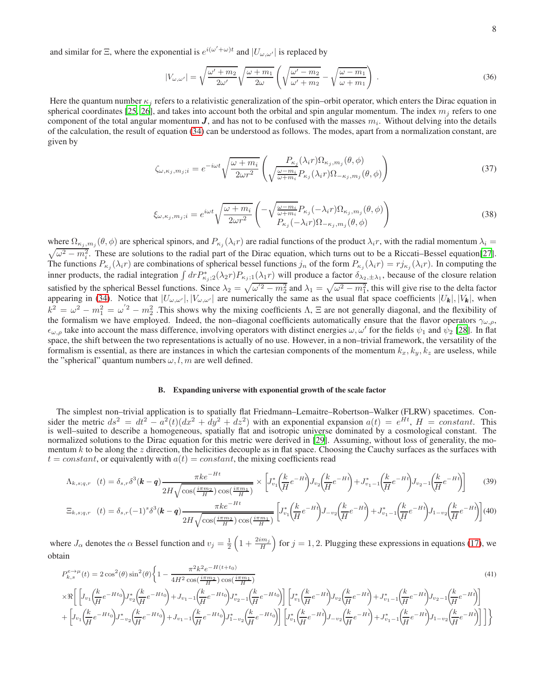and similar for  $\Xi$ , where the exponential is  $e^{i(\omega' + \omega)t}$  and  $|U_{\omega,\omega'}|$  is replaced by

<span id="page-7-2"></span>
$$
|V_{\omega,\omega'}| = \sqrt{\frac{\omega' + m_2}{2\omega'}} \sqrt{\frac{\omega + m_1}{2\omega}} \left( \sqrt{\frac{\omega' - m_2}{\omega' + m_2}} - \sqrt{\frac{\omega - m_1}{\omega + m_1}} \right) . \tag{36}
$$

Here the quantum number  $\kappa_i$  refers to a relativistic generalization of the spin–orbit operator, which enters the Dirac equation in spherical coordinates [\[25,](#page-12-4) [26\]](#page-12-5), and takes into account both the orbital and spin angular momentum. The index  $m_i$  refers to one component of the total angular momentum J, and has not to be confused with the masses  $m_i$ . Without delving into the details of the calculation, the result of equation [\(34\)](#page-6-0) can be understood as follows. The modes, apart from a normalization constant, are given by

<span id="page-7-0"></span>
$$
\zeta_{\omega,\kappa_j,m_j;i} = e^{-i\omega t} \sqrt{\frac{\omega + m_i}{2\omega r^2}} \left( \frac{P_{\kappa_j}(\lambda_i r) \Omega_{\kappa_j,m_j}(\theta,\phi)}{\sqrt{\frac{\omega - m_i}{\omega + m_i} P_{\kappa_j}(\lambda_i r) \Omega_{-\kappa_j,m_j}(\theta,\phi)}} \right)
$$
(37)

<span id="page-7-1"></span>
$$
\xi_{\omega,\kappa_j,m_j;i} = e^{i\omega t} \sqrt{\frac{\omega + m_i}{2\omega r^2}} \left( -\sqrt{\frac{\omega - m_i}{\omega + m_i}} P_{\kappa_j}(-\lambda_i r) \Omega_{\kappa_j,m_j}(\theta,\phi) \right)
$$
\n(38)

where  $\Omega_{\kappa_j,m_j}(\theta,\phi)$  are spherical spinors, and  $P_{\kappa_j}(\lambda_i r)$  are radial functions of the product  $\lambda_i r$ , with the radial momentum  $\lambda_i =$  $\sqrt{\omega^2 - m_i^2}$ . These are solutions to the radial part of the Dirac equation, which turns out to be a Riccati–Bessel equation[\[27\]](#page-12-6). The functions  $P_{\kappa_j}(\lambda_i r)$  are combinations of spherical bessel functions  $j_n$  of the form  $P_{\kappa_j}(\lambda_i r) = r j_{\kappa_j}(\lambda_i r)$ . In computing the inner products, the radial integration  $\int dr P^*_{\kappa_j;2}(\lambda_2 r) P_{\kappa_j;1}(\lambda_1 r)$  will produce a factor  $\delta_{\lambda_2,\pm\lambda_1}$ , because of the closure relation satisfied by the spherical Bessel functions. Since  $\lambda_2 = \sqrt{\omega^2 - m_2^2}$  and  $\lambda_1 = \sqrt{\omega^2 - m_1^2}$ , this will give rise to the delta factor appearing in [\(34\)](#page-6-0). Notice that  $|U_{\omega,\omega'}|, |V_{\omega,\omega'}|$  are numerically the same as the usual flat space coefficients  $|U_{\bm{k}}|, |V_{\bm{k}}|$ , when  $k^2 = \omega^2 - m_1^2 = \omega'^2 - m_2^2$ . This shows why the mixing coefficients  $\Lambda$ ,  $\Xi$  are not generally diagonal, and the flexibility of the formalism we have employed. Indeed, the non–diagonal coefficients automatically ensure that the flavor operators  $\gamma_{\omega,\rho}$ ,  $\epsilon_{\omega,\rho}$  take into account the mass difference, involving operators with distinct energies  $\omega,\omega'$  for the fields  $\psi_1$  and  $\psi_2$  [\[28\]](#page-12-7). In flat space, the shift between the two representations is actually of no use. However, in a non–trivial framework, the versatility of the formalism is essential, as there are instances in which the cartesian components of the momentum  $k_x, k_y, k_z$  are useless, while the "spherical" quantum numbers  $\omega$ , l, m are well defined.

# B. Expanding universe with exponential growth of the scale factor

The simplest non–trivial application is to spatially flat Friedmann–Lemaitre–Robertson–Walker (FLRW) spacetimes. Consider the metric  $ds^2 = dt^2 - a^2(t)(dx^2 + dy^2 + dz^2)$  with an exponential expansion  $a(t) = e^{Ht}$ ,  $H = constant$ . This is well–suited to describe a homogeneous, spatially flat and isotropic universe dominated by a cosmological constant. The normalized solutions to the Dirac equation for this metric were derived in [\[29](#page-12-8)]. Assuming, without loss of generality, the momentum k to be along the z direction, the helicities decouple as in flat space. Choosing the Cauchy surfaces as the surfaces with  $t = constant$ , or equivalently with  $a(t) = constant$ , the mixing coefficients read

$$
\Lambda_{k,s;q,r} (t) = \delta_{s,r} \delta^3(\mathbf{k} - \mathbf{q}) \frac{\pi k e^{-Ht}}{2H \sqrt{\cos(\frac{i\pi m_2}{H}) \cos(\frac{i\pi m_1}{H})}} \times \left[ J_{v_1}^* \left( \frac{k}{H} e^{-Ht} \right) J_{v_2} \left( \frac{k}{H} e^{-Ht} \right) + J_{v_1-1}^* \left( \frac{k}{H} e^{-Ht} \right) J_{v_2-1} \left( \frac{k}{H} e^{-Ht} \right) \right] \tag{39}
$$

$$
\Xi_{k,s;q,r} \quad (t) = \delta_{s,r}(-1)^s \delta^3(\mathbf{k} - \mathbf{q}) \frac{\pi k e^{-Ht}}{2H \sqrt{\cos(\frac{i\pi m_2}{H}) \cos(\frac{i\pi m_1}{H})}} \left[ J_{v_1}^* \left( \frac{k}{H} e^{-Ht} \right) J_{-v_2} \left( \frac{k}{H} e^{-Ht} \right) + J_{v_1-1}^* \left( \frac{k}{H} e^{-Ht} \right) J_{1-v_2} \left( \frac{k}{H} e^{-Ht} \right) \right] (40)
$$

where  $J_{\alpha}$  denotes the  $\alpha$  Bessel function and  $v_j = \frac{1}{2} \left( 1 + \frac{2im_j}{H} \right)$  for  $j = 1, 2$ . Plugging these expressions in equations [\(17\)](#page-3-3), we obtain

$$
P_{k,s}^{e\to\mu}(t) = 2\cos^2(\theta)\sin^2(\theta)\left\{1 - \frac{\pi^2 k^2 e^{-H(t+t_0)}}{4H^2 \cos(\frac{i\pi m_2}{H})}\cos(\frac{i\pi m_1}{H})\right\}\times \Re\left[\left[J_{v_1}\left(\frac{k}{H}e^{-Ht_0}\right)J_{v_2}^*\left(\frac{k}{H}e^{-Ht_0}\right)+J_{v_1-1}\left(\frac{k}{H}e^{-Ht_0}\right)J_{v_2-1}^*\left(\frac{k}{H}e^{-Ht_0}\right)\right]\left[J_{v_1}^*\left(\frac{k}{H}e^{-Ht}\right)J_{v_2}\left(\frac{k}{H}e^{-Ht}\right)+J_{v_1-1}^*\left(\frac{k}{H}e^{-Ht}\right)J_{v_2-1}\left(\frac{k}{H}e^{-Ht}\right)\right]\right]+ \left[J_{v_1}\left(\frac{k}{H}e^{-Ht_0}\right)J_{-v_2}^*\left(\frac{k}{H}e^{-Ht_0}\right)+J_{v_1-1}\left(\frac{k}{H}e^{-Ht_0}\right)J_{1-v_2}\left(\frac{k}{H}e^{-Ht_0}\right)\right]\left[J_{v_1}^*\left(\frac{k}{H}e^{-Ht}\right)J_{-v_2}\left(\frac{k}{H}e^{-Ht}\right)+J_{v_1-1}^*\left(\frac{k}{H}e^{-Ht}\right)J_{1-v_2}\left(\frac{k}{H}e^{-Ht}\right)\right]\right]\right\}
$$
(41)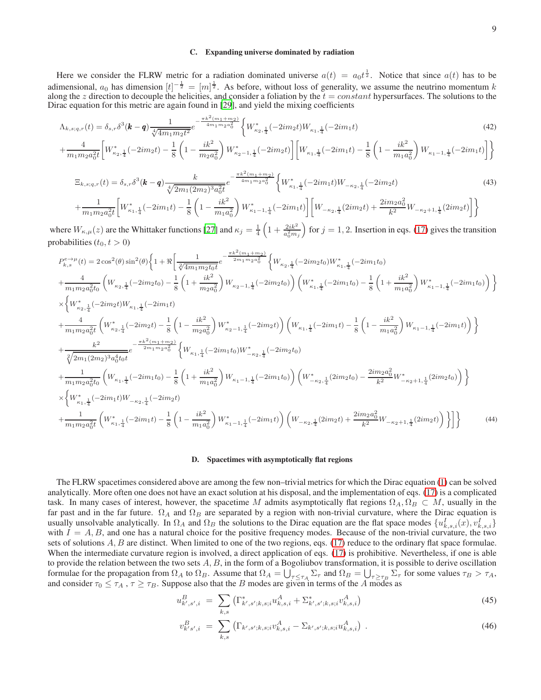# C. Expanding universe dominated by radiation

Here we consider the FLRW metric for a radiation dominated universe  $a(t) = a_0 t^{\frac{1}{2}}$ . Notice that since  $a(t)$  has to be adimensional,  $a_0$  has dimension  $[t]^{-\frac{1}{2}} = [m]^{\frac{1}{2}}$ . As before, without loss of generality, we assume the neutrino momentum k along the z direction to decouple the helicities, and consider a foliation by the  $t = constant$  hypersurfaces. The solutions to the Dirac equation for this metric are again found in [\[29](#page-12-8)], and yield the mixing coefficients

$$
\Lambda_{k,s;q,r}(t) = \delta_{s,r} \delta^3(\mathbf{k} - \mathbf{q}) \frac{1}{\sqrt[4]{4m_1m_2t^2}} e^{-\frac{\pi k^2(m_1 + m_2)}{4m_1m_2a_0^2}} \left\{ W_{\kappa_2,\frac{1}{4}}^*(-2im_2t) W_{\kappa_1,\frac{1}{4}}(-2im_1t) \right\}
$$
(42)

$$
+\frac{4}{m_1m_2a_0^2t} \left[W_{\kappa_2,\frac{1}{4}}^*(-2im_2t) - \frac{1}{8}\left(1 - \frac{ik^2}{m_2a_0^2}\right)W_{\kappa_2-1,\frac{1}{4}}^*(-2im_2t)\right] \left[W_{\kappa_1,\frac{1}{4}}(-2im_1t) - \frac{1}{8}\left(1 - \frac{ik^2}{m_1a_0^2}\right)W_{\kappa_1-1,\frac{1}{4}}(-2im_1t)\right] \right\}
$$

$$
\Xi_{k,s;q,r}(t) = \delta_{s,r}\delta^3(\mathbf{k} - \mathbf{q}) \frac{k}{\sqrt[4]{2m_1(2m_2)^3 a_0^2 t}} e^{-\frac{\pi k^2(m_1 + m_2)}{4m_1 m_2 a_0^2}} \left\{ W_{\kappa_1,\frac{1}{4}}^*(-2im_1t) W_{-\kappa_2,\frac{1}{4}}(-2im_2t) \right\}
$$
(43)

$$
\left. +\frac{1}{m_1m_2a_0^2t}\bigg[W^*_{\kappa_1,\frac{1}{4}}(-2im_1t)-\frac{1}{8}\left(1-\frac{ik^2}{m_1a_0^2}\right)W^*_{\kappa_1-1,\frac{1}{4}}(-2im_1t)\bigg]\bigg[W_{-\kappa_2,\frac{1}{4}}(2im_2t)+\frac{2im_2a_0^2}{k^2}W_{-\kappa_2+1,\frac{1}{4}}(2im_2t)\bigg]\bigg\}
$$

where  $W_{\kappa,\mu}(z)$  are the Whittaker functions [\[27](#page-12-6)] and  $\kappa_j = \frac{1}{4} \left(1 + \frac{2ik^2}{a_0^2m_j}\right)$ for  $j = 1, 2$ . Insertion in eqs. [\(17\)](#page-3-3) gives the transition probabilities  $(t_0, t > 0)$ 

$$
\begin{split} &P_{k,s}^{e\to\mu}(t)=2\cos^2(\theta)\sin^2(\theta)\bigg\{1+\Re\bigg[\frac{1}{\sqrt[2]{4m_1m_2t_0}t}e^{-\frac{\pi k^2(m_1+m_2)}{2m_1m_2a_0^2}}\bigg\{W_{\kappa_{2},\frac{1}{4}}(-2im_2t_0)W_{\kappa_{1},\frac{1}{4}}^*(-2im_1t_0)\\&+\frac{4}{m_1m_2a_0^2t_0}\bigg(W_{\kappa_{2},\frac{1}{4}}(-2im_2t_0)-\frac{1}{8}\left(1+\frac{ik^2}{m_2a_0^2}\right)W_{\kappa_{2}-1,\frac{1}{4}}(-2im_2t_0)\bigg)\bigg(W_{\kappa_{1},\frac{1}{4}}^*(-2im_1t_0)-\frac{1}{8}\left(1+\frac{ik^2}{m_1a_0^2}\right)W_{\kappa_{1}-1,\frac{1}{4}}^*(-2im_1t_0)\bigg)\bigg\}\\\times\bigg\{W_{\kappa_{2},\frac{1}{4}}^*(-2im_2t)W_{\kappa_{1},\frac{1}{4}}^*(-2im_1t)\\&+\frac{4}{m_1m_2a_0^2t}\bigg(W_{\kappa_{2},\frac{1}{4}}^*(-2im_2t)-\frac{1}{8}\left(1-\frac{ik^2}{m_2a_0^2}\right)W_{\kappa_{2}-1,\frac{1}{4}}^*(-2im_2t)\bigg)\bigg(W_{\kappa_{1},\frac{1}{4}}(-2im_1t)-\frac{1}{8}\left(1-\frac{ik^2}{m_1a_0^2}\right)W_{\kappa_{1}-1,\frac{1}{4}}(-2im_1t)\bigg)\bigg\}\\\times\bigg\{W_{\kappa_{1},\frac{1}{4}}^*(-2im_1m_2a_0^2\bigg\{W_{\kappa_{1},\frac{1}{4}}^*(-2im_1t_0)W_{-\kappa_{2},\frac{1}{4}}^*(-2im_1t_0)\bigg)\bigg(W_{-\kappa_{2},\frac{1}{4}}^*(2im_2t_0)-\frac{2im_2a_0^2}{k^2}W_{-\kappa_{2}+1,\frac{1}{4}}^*(2im_2t_0)\bigg)\bigg\}\\\times\bigg
$$

### D. Spacetimes with asymptotically flat regions

The FLRW spacetimes considered above are among the few non–trivial metrics for which the Dirac equation [\(1\)](#page-1-0) can be solved analytically. More often one does not have an exact solution at his disposal, and the implementation of eqs. [\(17\)](#page-3-3) is a complicated task. In many cases of interest, however, the spacetime M admits asymptotically flat regions  $\Omega_A, \Omega_B \subset M$ , usually in the far past and in the far future.  $\Omega_A$  and  $\Omega_B$  are separated by a region with non-trivial curvature, where the Dirac equation is usually unsolvable analytically. In  $\Omega_A$  and  $\Omega_B$  the solutions to the Dirac equation are the flat space modes  $\{u_{k,s,i}^I(x), v_{k,s,i}^I\}$ with  $I = A, B$ , and one has a natural choice for the positive frequency modes. Because of the non-trivial curvature, the two sets of solutions  $A, B$  are distinct. When limited to one of the two regions, eqs. [\(17\)](#page-3-3) reduce to the ordinary flat space formulae. When the intermediate curvature region is involved, a direct application of eqs. [\(17\)](#page-3-3) is prohibitive. Nevertheless, if one is able to provide the relation between the two sets  $A, B$ , in the form of a Bogoliubov transformation, it is possible to derive oscillation formulae for the propagation from  $\Omega_A$  to  $\Omega_B$ . Assume that  $\Omega_A = \bigcup_{\tau \leq \tau_A} \Sigma_{\tau}$  and  $\Omega_B = \bigcup_{\tau \geq \tau_B} \Sigma_{\tau}$  for some values  $\tau_B > \tau_A$ , and consider  $\tau_0 \le \tau_A$ ,  $\tau \ge \tau_B$ . Suppose also that the B modes are given in terms of the A modes as

<span id="page-8-0"></span>
$$
u_{k',s',i}^B = \sum_{k,s} \left( \Gamma_{k',s';k,s;i}^* u_{k,s,i}^A + \Sigma_{k',s';k,s;i}^* v_{k,s,i}^A \right)
$$
\n
$$
(45)
$$

$$
v_{k's',i}^B = \sum_{k,s} \left( \Gamma_{k',s';k,s;i} v_{k,s,i}^A - \Sigma_{k',s';k,s;i} u_{k,s,i}^A \right) \,. \tag{46}
$$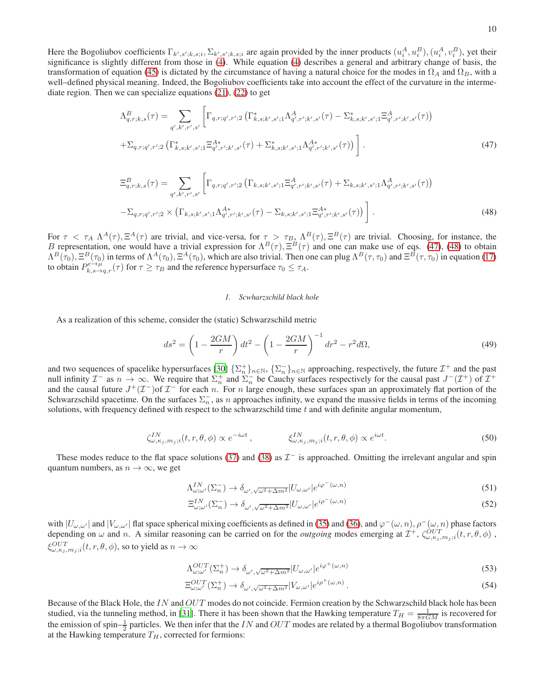Here the Bogoliubov coefficients  $\Gamma_{k',s';k,s;i}$ ,  $\Sigma_{k',s';k,s;i}$  are again provided by the inner products  $(u_i^A, u_i^B)$ ,  $(u_i^A, v_i^B)$ , yet their significance is slightly different from those in [\(4\)](#page-1-3). While equation [\(4\)](#page-1-3) describes a general and arbitrary change of basis, the transformation of equation [\(45\)](#page-8-0) is dictated by the circumstance of having a natural choice for the modes in  $\Omega_A$  and  $\Omega_B$ , with a well–defined physical meaning. Indeed, the Bogoliubov coefficients take into account the effect of the curvature in the intermediate region. Then we can specialize equations [\(21\)](#page-4-0), [\(22\)](#page-4-1) to get

<span id="page-9-0"></span>
$$
\Lambda_{q,r;k,s}^{B}(\tau) = \sum_{q',k',r',s'} \left[ \Gamma_{q,r;q',r';2} \left( \Gamma_{k,s;k',s';1}^{*} \Lambda_{q',r';k',s'}^{A}(\tau) - \Sigma_{k,s;k',s';1}^{*} \Xi_{q',r';k',s'}^{A}(\tau) \right) \right. \\
\left. + \Sigma_{q,r;q',r';2} \left( \Gamma_{k,s;k',s';1}^{*} \Xi_{q',r';k',s'}^{A*}(\tau) + \Sigma_{k,s;k',s';1}^{*} \Lambda_{q',r';k',s'}^{A*}(\tau) \right) \right].
$$
\n(47)

<span id="page-9-1"></span>
$$
\Xi_{q,r;k,s}^{B}(\tau) = \sum_{q',k',r',s'} \left[ \Gamma_{q,r;q',r';2} \left( \Gamma_{k,s;k',s';1} \Xi_{q',r';k',s'}^{A}(\tau) + \Sigma_{k,s;k',s';1} \Lambda_{q',r';k',s'}^{A}(\tau) \right) \right. \\
\left. - \Sigma_{q,r;q',r';2} \times \left( \Gamma_{k,s;k',s';1} \Lambda_{q',r';k',s'}^{A*}(\tau) - \Sigma_{k,s;k',s';1} \Xi_{q',r';k',s'}^{A*}(\tau) \right) \right].
$$
\n(48)

For  $\tau < \tau_A \Lambda^A(\tau), \Xi^A(\tau)$  are trivial, and vice-versa, for  $\tau > \tau_B$ ,  $\Lambda^B(\tau), \Xi^B(\tau)$  are trivial. Choosing, for instance, the B representation, one would have a trivial expression for  $\Lambda^B(\tau), \Xi^B(\tau)$  and one can make use of eqs. [\(47\)](#page-9-0), [\(48\)](#page-9-1) to obtain  $\Lambda^B(\tau_0), \Xi^B(\tau_0)$  in terms of  $\Lambda^A(\tau_0), \Xi^A(\tau_0)$ , which are also trivial. Then one can plug  $\Lambda^B(\tau, \tau_0)$  and  $\Xi^B(\tau, \tau_0)$  in equation [\(17\)](#page-3-3) to obtain  $P_{k,s\to q,r}^{e\to\mu}(\tau)$  for  $\tau\geq\tau_B$  and the reference hypersurface  $\tau_0\leq\tau_A$ .

# *1. Scwharzschild black hole*

As a realization of this scheme, consider the (static) Schwarzschild metric

$$
ds^{2} = \left(1 - \frac{2GM}{r}\right)dt^{2} - \left(1 - \frac{2GM}{r}\right)^{-1}dr^{2} - r^{2}d\Omega,
$$
\n(49)

and two sequences of spacelike hypersurfaces [\[30\]](#page-12-9)  $\{\Sigma_n^+\}_{n\in\mathbb{N}}$ ,  $\{\Sigma_n^-\}_{n\in\mathbb{N}}$  approaching, respectively, the future  $\mathcal{I}^+$  and the past null infinity  $\mathcal{I}^-$  as  $n \to \infty$ . We require that  $\Sigma_n^+$  and  $\Sigma_n^-$  be Cauchy surfaces respectively for the causal past  $J^-(\mathcal{I}^+)$  of  $\mathcal{I}^+$ and the causal future  $J^+(\mathcal{I}^-)$  of  $\mathcal{I}^-$  for each n. For n large enough, these surfaces span an approximately flat portion of the Schwarzschild spacetime. On the surfaces  $\Sigma_n^-$ , as n approaches infinity, we expand the massive fields in terms of the incoming solutions, with frequency defined with respect to the schwarzschild time  $t$  and with definite angular momentum,

$$
\zeta_{\omega,\kappa_j,m_j;i}^{IN}(t,r,\theta,\phi) \propto e^{-i\omega t}, \qquad \qquad \xi_{\omega,\kappa_j,m_j;i}^{IN}(t,r,\theta,\phi) \propto e^{i\omega t}.
$$
\n(50)

These modes reduce to the flat space solutions [\(37\)](#page-7-0) and [\(38\)](#page-7-1) as  $\mathcal{I}^-$  is approached. Omitting the irrelevant angular and spin quantum numbers, as  $n \to \infty$ , we get

$$
\Lambda_{\omega;\omega'}^{IN}(\Sigma_n^-) \to \delta_{\omega',\sqrt{\omega^2 + \Delta m^2}} |U_{\omega,\omega'}| e^{i\varphi^-(\omega,n)} \tag{51}
$$

$$
\Xi_{\omega;\omega'}^{IN}(\Sigma_n^-) \to \delta_{\omega',\sqrt{\omega^2 + \Delta m^2}} |U_{\omega,\omega'}| e^{i\rho^-(\omega,n)} \tag{52}
$$

with  $|U_{\omega,\omega'}|$  and  $|V_{\omega,\omega'}|$  flat space spherical mixing coefficients as defined in [\(35\)](#page-6-1) and [\(36\)](#page-7-2), and  $\varphi^-(\omega,n)$ ,  $\rho^-(\omega,n)$  phase factors depending on  $\omega$  and n. A similar reasoning can be carried on for the *outgoing* modes emerging at  $\mathcal{I}^+$ ,  $\zeta_{\omega,\kappa_j,m_j;i}^{OUT}(t,r,\theta,\phi)$ ,  $\xi_{\omega,\kappa_j,m_j;i}^{OUT}(t,r,\theta,\phi)$ , so to yield as  $n\to\infty$ 

$$
\Lambda_{\omega;\omega'}^{OUT}(\Sigma_n^+) \to \delta_{\omega',\sqrt{\omega^2 + \Delta m^2}} |U_{\omega,\omega'}| e^{i\varphi^+(\omega,n)} \tag{53}
$$

$$
\Xi_{\omega;\omega'}^{OUT}(\Sigma_n^+) \to \delta_{\omega',\sqrt{\omega^2 + \Delta m^2}} |V_{\omega,\omega'}| e^{i\rho^+(\omega,n)}.
$$
\n(54)

Because of the Black Hole, the IN and OUT modes do not coincide. Fermion creation by the Schwarzschild black hole has been studied, via the tunneling method, in [\[31\]](#page-12-10). There it has been shown that the Hawking temperature  $T_H = \frac{1}{8\pi GM}$  is recovered for the emission of spin– $\frac{1}{2}$  particles. We then infer that the IN and OUT modes are related by a thermal Bogoliubov transformation at the Hawking temperature  $T_H$ , corrected for fermions: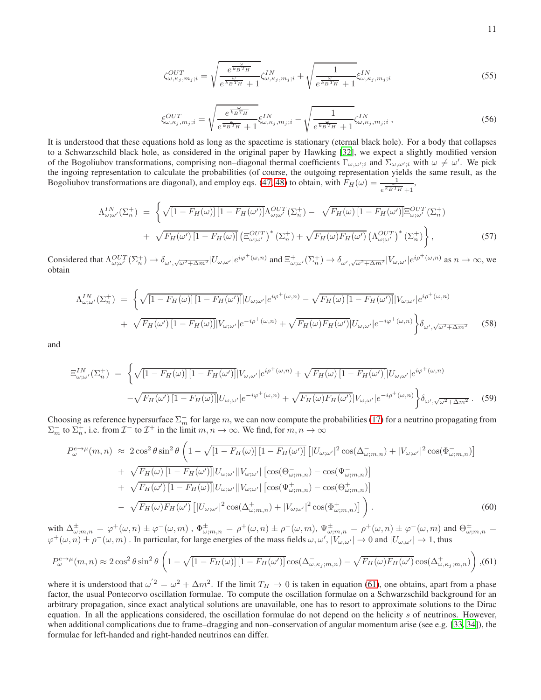$$
\zeta_{\omega,\kappa_j,m_j;i}^{OUT} = \sqrt{\frac{e^{\frac{\omega}{k_B T_H}}}{e^{\frac{\omega}{k_B T_H}} + 1}} \zeta_{\omega,\kappa_j,m_j;i}^{IN} + \sqrt{\frac{1}{e^{\frac{\omega}{k_B T_H}} + 1}} \xi_{\omega,\kappa_j,m_j;i}^{IN}
$$
(55)

$$
\xi_{\omega,\kappa_j,m_j;i}^{OUT} = \sqrt{\frac{e^{\frac{\omega}{k_B T_H}}}{e^{\frac{\omega}{k_B T_H}} + 1}} \xi_{\omega,\kappa_j,m_j;i}^{IN} - \sqrt{\frac{1}{e^{\frac{\omega}{k_B T_H}} + 1}} \zeta_{\omega,\kappa_j,m_j;i}^{IN}, \qquad (56)
$$

It is understood that these equations hold as long as the spacetime is stationary (eternal black hole). For a body that collapses to a Schwarzschild black hole, as considered in the original paper by Hawking [\[32\]](#page-12-11), we expect a slightly modified version of the Bogoliubov transformations, comprising non–diagonal thermal coefficients  $\Gamma_{\omega,\omega';i}$  and  $\Sigma_{\omega,\omega';i}$  with  $\omega \neq \omega'$ . We pick the ingoing representation to calculate the probabilities (of course, the outgoing representation yields the same result, as the Bogoliubov transformations are diagonal), and employ eqs. [\(47,](#page-9-0) [48\)](#page-9-1) to obtain, with  $F_H(\omega) = \frac{1}{e^{\frac{\omega}{k_B T_H}}+1}$ ,

$$
\Lambda_{\omega;\omega'}^{IN}(\Sigma_n^+) = \left\{ \sqrt{\left[1 - F_H(\omega)\right] \left[1 - F_H(\omega')\right]} \Lambda_{\omega;\omega'}^{OUT}(\Sigma_n^+) - \sqrt{F_H(\omega) \left[1 - F_H(\omega')\right]} \Xi_{\omega;\omega'}^{OUT}(\Sigma_n^+) \right. \\ \left. + \sqrt{F_H(\omega') \left[1 - F_H(\omega)\right]} \left(\Xi_{\omega;\omega'}^{OUT}\right)^* (\Sigma_n^+) + \sqrt{F_H(\omega) F_H(\omega')} \left(\Lambda_{\omega;\omega'}^{OUT}\right)^* (\Sigma_n^+) \right\}, \tag{57}
$$

Considered that  $\Lambda_{\omega;\omega'}^{OUT}(\Sigma_n^+) \to \delta_{\omega',\sqrt{\omega^2 + \Delta m^2}} |U_{\omega,\omega'}|e^{i\varphi^+(\omega,n)}$  and  $\Xi_{\omega;\omega'}^+(\Sigma_n^+) \to \delta_{\omega',\sqrt{\omega^2 + \Delta m^2}} |V_{\omega,\omega'}|e^{i\varphi^+(\omega,n)}$  as  $n \to \infty$ , we obtain

$$
\Lambda_{\omega;\omega'}^{IN}(\Sigma_n^+) = \left\{ \sqrt{\left[1 - F_H(\omega)\right] \left[1 - F_H(\omega')\right]} |U_{\omega;\omega'}|e^{i\varphi^+(\omega,n)} - \sqrt{F_H(\omega)\left[1 - F_H(\omega')\right]} |V_{\omega;\omega'}|e^{i\rho^+(\omega,n)}\right\}
$$

$$
+ \sqrt{F_H(\omega') \left[1 - F_H(\omega)\right]} |V_{\omega;\omega'}|e^{-i\rho^+(\omega,n)} + \sqrt{F_H(\omega)F_H(\omega')} |U_{\omega,\omega'}|e^{-i\varphi^+(\omega,n)}\right\} \delta_{\omega',\sqrt{\omega^2 + \Delta m^2}} \quad (58)
$$

and

$$
\Xi_{\omega;\omega'}^{IN}(\Sigma_n^+) = \left\{ \sqrt{\left[1 - F_H(\omega)\right]\left[1 - F_H(\omega')\right]} |V_{\omega,\omega'}|e^{i\rho^+(\omega,n)} + \sqrt{F_H(\omega)\left[1 - F_H(\omega')\right]} |U_{\omega,\omega'}|e^{i\varphi^+(\omega,n)} - \sqrt{F_H(\omega')\left[1 - F_H(\omega)\right]} |U_{\omega,\omega'}|e^{-i\varphi^+(\omega,n)} + \sqrt{F_H(\omega)F_H(\omega')} |V_{\omega,\omega'}|e^{-i\rho^+(\omega,n)} \right\} \delta_{\omega',\sqrt{\omega^2 + \Delta m^2}}.\tag{59}
$$

Choosing as reference hypersurface  $\Sigma_m^-$  for large m, we can now compute the probabilities [\(17\)](#page-3-3) for a neutrino propagating from  $\Sigma_m^-$  to  $\Sigma_n^+$ , i.e. from  $\mathcal{I}^-$  to  $\mathcal{I}^+$  in the limit  $m, n \to \infty$ . We find, for  $m, n \to \infty$ 

$$
P_{\omega}^{e\rightarrow\mu}(m,n) \approx 2\cos^{2}\theta\sin^{2}\theta \left(1-\sqrt{\left[1-F_{H}(\omega)\right]\left[1-F_{H}(\omega')\right]}\left[|U_{\omega;\omega'}|^{2}\cos(\Delta_{\omega;m,n}^{-})+|V_{\omega;\omega'}|^{2}\cos(\Phi_{\omega;m,n}^{-})\right]\right) + \sqrt{F_{H}(\omega)\left[1-F_{H}(\omega')\right]}|U_{\omega;\omega'}||V_{\omega;\omega'}|\left[\cos(\Theta_{\omega;m,n}^{-})-\cos(\Psi_{\omega;m,n}^{-})\right] + \sqrt{F_{H}(\omega')\left[1-F_{H}(\omega)\right]}|U_{\omega;\omega'}||V_{\omega;\omega'}|\left[\cos(\Psi_{\omega;m,n}^{+})-\cos(\Theta_{\omega;m,n}^{+})\right] - \sqrt{F_{H}(\omega)F_{H}(\omega')}\left[|U_{\omega;\omega'}|^{2}\cos(\Delta_{\omega;m,n}^{+})+|V_{\omega;\omega'}|^{2}\cos(\Phi_{\omega;m,n}^{+})\right]\right). \tag{60}
$$

with  $\Delta_{\omega,m,n}^{\pm} = \varphi^+(\omega,n) \pm \varphi^-(\omega,m)$  ,  $\Phi_{\omega,m,n}^{\pm} = \rho^+(\omega,n) \pm \rho^-(\omega,m)$ ,  $\Psi_{\omega;m,n}^{\pm} = \rho^+(\omega,n) \pm \varphi^-(\omega,m)$  and  $\Theta_{\omega;m,n}^{\pm} = \varphi^+(\omega,m)$  $\varphi^+(\omega,n) \pm \rho^-(\omega,m)$ . In particular, for large energies of the mass fields  $\omega,\omega', |V_{\omega,\omega'}| \to 0$  and  $|U_{\omega,\omega'}| \to 1$ , thus

<span id="page-10-0"></span>
$$
P_{\omega}^{e\to\mu}(m,n) \approx 2\cos^2\theta\sin^2\theta \left(1 - \sqrt{\left[1 - F_H(\omega)\right]\left[1 - F_H(\omega')\right]}\cos(\Delta_{\omega,\kappa_j;m,n}^-) - \sqrt{F_H(\omega)F_H(\omega')}\cos(\Delta_{\omega,\kappa_j;m,n}^+)\right),
$$
(61)

where it is understood that  $\omega^2 = \omega^2 + \Delta m^2$ . If the limit  $T_H \to 0$  is taken in equation [\(61\)](#page-10-0), one obtains, apart from a phase factor, the usual Pontecorvo oscillation formulae. To compute the oscillation formulae on a Schwarzschild background for an arbitrary propagation, since exact analytical solutions are unavailable, one has to resort to approximate solutions to the Dirac equation. In all the applications considered, the oscillation formulae do not depend on the helicity s of neutrinos. However, when additional complications due to frame–dragging and non–conservation of angular momentum arise (see e.g. [\[33,](#page-12-12) [34](#page-12-13)]), the formulae for left-handed and right-handed neutrinos can differ.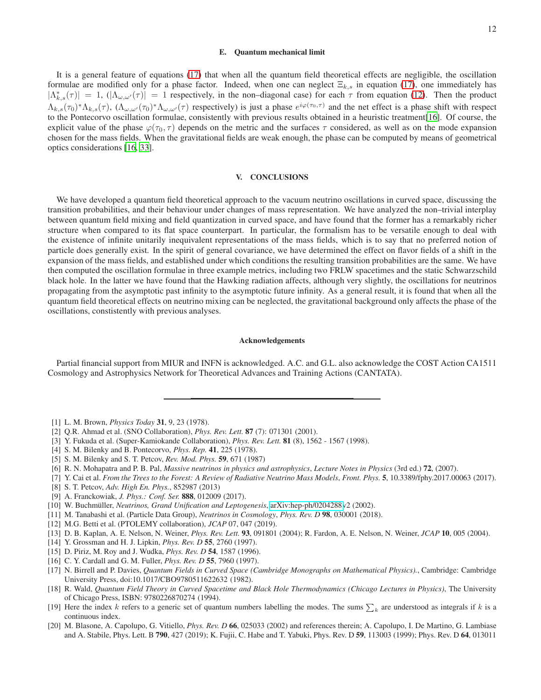# E. Quantum mechanical limit

It is a general feature of equations [\(17\)](#page-3-3) that when all the quantum field theoretical effects are negligible, the oscillation formulae are modified only for a phase factor. Indeed, when one can neglect  $\Xi_{k,s}$  in equation [\(17\)](#page-3-3), one immediately has  $|\Lambda_{k,s}^*(\tau)| = 1$ ,  $(|\Lambda_{\omega,\omega'}(\tau)| = 1$  respectively, in the non-diagonal case) for each  $\tau$  from equation [\(12\)](#page-3-2). Then the product  $\Lambda_{k,s}(\tau_0)^* \Lambda_{k,s}(\tau)$ ,  $(\Lambda_{\omega,\omega'}(\tau_0)^* \Lambda_{\omega,\omega'}(\tau)$  respectively) is just a phase  $e^{i\varphi(\tau_0,\tau)}$  and the net effect is a phase shift with respect to the Pontecorvo oscillation formulae, consistently with previous results obtained in a heuristic treatment[\[16\]](#page-11-14). Of course, the explicit value of the phase  $\varphi(\tau_0, \tau)$  depends on the metric and the surfaces  $\tau$  considered, as well as on the mode expansion chosen for the mass fields. When the gravitational fields are weak enough, the phase can be computed by means of geometrical optics considerations [\[16,](#page-11-14) [33\]](#page-12-12).

# V. CONCLUSIONS

We have developed a quantum field theoretical approach to the vacuum neutrino oscillations in curved space, discussing the transition probabilities, and their behaviour under changes of mass representation. We have analyzed the non–trivial interplay between quantum field mixing and field quantization in curved space, and have found that the former has a remarkably richer structure when compared to its flat space counterpart. In particular, the formalism has to be versatile enough to deal with the existence of infinite unitarily inequivalent representations of the mass fields, which is to say that no preferred notion of particle does generally exist. In the spirit of general covariance, we have determined the effect on flavor fields of a shift in the expansion of the mass fields, and established under which conditions the resulting transition probabilities are the same. We have then computed the oscillation formulae in three example metrics, including two FRLW spacetimes and the static Schwarzschild black hole. In the latter we have found that the Hawking radiation affects, although very slightly, the oscillations for neutrinos propagating from the asymptotic past infinity to the asymptotic future infinity. As a general result, it is found that when all the quantum field theoretical effects on neutrino mixing can be neglected, the gravitational background only affects the phase of the oscillations, constistently with previous analyses.

## Acknowledgements

Partial financial support from MIUR and INFN is acknowledged. A.C. and G.L. also acknowledge the COST Action CA1511 Cosmology and Astrophysics Network for Theoretical Advances and Training Actions (CANTATA).

- <span id="page-11-0"></span>[1] L. M. Brown, *Physics Today* 31, 9, 23 (1978).
- <span id="page-11-1"></span>[2] Q.R. Ahmad et al. (SNO Collaboration), *Phys. Rev. Lett.* 87 (7): 071301 (2001).
- <span id="page-11-2"></span>[3] Y. Fukuda et al. (Super-Kamiokande Collaboration), *Phys. Rev. Lett.* 81 (8), 1562 - 1567 (1998).
- <span id="page-11-3"></span>[4] S. M. Bilenky and B. Pontecorvo, *Phys. Rep.* 41, 225 (1978).
- <span id="page-11-4"></span>[5] S. M. Bilenky and S. T. Petcov, *Rev. Mod. Phys.* 59, 671 (1987)
- <span id="page-11-5"></span>[6] R. N. Mohapatra and P. B. Pal, *Massive neutrinos in physics and astrophysics*, *Lecture Notes in Physics* (3rd ed.) 72, (2007).
- <span id="page-11-6"></span>[7] Y. Cai et al. *From the Trees to the Forest: A Review of Radiative Neutrino Mass Models*, *Front. Phys.* 5, 10.3389/fphy.2017.00063 (2017).
- <span id="page-11-7"></span>[8] S. T. Petcov, *Adv. High En. Phys.*, 852987 (2013)
- <span id="page-11-8"></span>[9] A. Franckowiak, *J. Phys.: Conf. Ser.* 888, 012009 (2017).
- <span id="page-11-9"></span>[10] W. Buchm¨uller, *Neutrinos, Grand Unification and Leptogenesis*, [arXiv:hep-ph/0204288v](http://arxiv.org/abs/hep-ph/0204288)2 (2002).
- <span id="page-11-10"></span>[11] M. Tanabashi et al. (Particle Data Group), *Neutrinos in Cosmology*, *Phys. Rev. D* 98, 030001 (2018).
- <span id="page-11-11"></span>[12] M.G. Betti et al. (PTOLEMY collaboration), *JCAP* 07, 047 (2019).
- <span id="page-11-12"></span>[13] D. B. Kaplan, A. E. Nelson, N. Weiner, *Phys. Rev. Lett.* 93, 091801 (2004); R. Fardon, A. E. Nelson, N. Weiner, *JCAP* 10, 005 (2004).
- <span id="page-11-13"></span>[14] Y. Grossman and H. J. Lipkin, *Phys. Rev. D* 55, 2760 (1997).
- [15] D. Piriz, M. Roy and J. Wudka, *Phys. Rev. D* 54, 1587 (1996).
- <span id="page-11-14"></span>[16] C. Y. Cardall and G. M. Fuller, *Phys. Rev. D* 55, 7960 (1997).
- <span id="page-11-15"></span>[17] N. Birrell and P. Davies, *Quantum Fields in Curved Space (Cambridge Monographs on Mathematical Physics).*, Cambridge: Cambridge University Press, doi:10.1017/CBO9780511622632 (1982).
- <span id="page-11-16"></span>[18] R. Wald, *Quantum Field Theory in Curved Spacetime and Black Hole Thermodynamics (Chicago Lectures in Physics)*, The University of Chicago Press, ISBN: 9780226870274 (1994).
- <span id="page-11-17"></span>[19] Here the index k refers to a generic set of quantum numbers labelling the modes. The sums  $\sum_k$  are understood as integrals if k is a continuous index.
- <span id="page-11-18"></span>[20] M. Blasone, A. Capolupo, G. Vitiello, *Phys. Rev. D* 66, 025033 (2002) and references therein; A. Capolupo, I. De Martino, G. Lambiase and A. Stabile, Phys. Lett. B 790, 427 (2019); K. Fujii, C. Habe and T. Yabuki, Phys. Rev. D 59, 113003 (1999); Phys. Rev. D 64, 013011